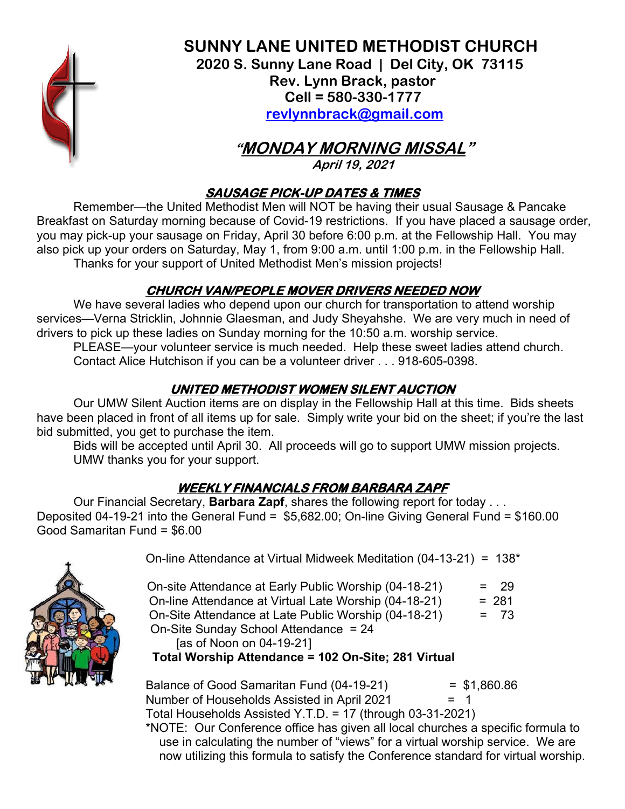

 **SUNNY LANE UNITED METHODIST CHURCH 2020 S. Sunny Lane Road | Del City, OK 73115 Rev. Lynn Brack, pastor Cell = 580-330-1777 revlynnbrack@gmail.com**

 **"MONDAY MORNING MISSAL"** 

**April 19, 2021** 

### **SAUSAGE PICK-UP DATES & TIMES**

 Remember—the United Methodist Men will NOT be having their usual Sausage & Pancake Breakfast on Saturday morning because of Covid-19 restrictions. If you have placed a sausage order, you may pick-up your sausage on Friday, April 30 before 6:00 p.m. at the Fellowship Hall. You may also pick up your orders on Saturday, May 1, from 9:00 a.m. until 1:00 p.m. in the Fellowship Hall. Thanks for your support of United Methodist Men's mission projects!

# **CHURCH VAN/PEOPLE MOVER DRIVERS NEEDED NOW**

We have several ladies who depend upon our church for transportation to attend worship services—Verna Stricklin, Johnnie Glaesman, and Judy Sheyahshe. We are very much in need of drivers to pick up these ladies on Sunday morning for the 10:50 a.m. worship service.

PLEASE—your volunteer service is much needed. Help these sweet ladies attend church. Contact Alice Hutchison if you can be a volunteer driver . . . 918-605-0398.

# **UNITED METHODIST WOMEN SILENT AUCTION**

 Our UMW Silent Auction items are on display in the Fellowship Hall at this time. Bids sheets have been placed in front of all items up for sale. Simply write your bid on the sheet; if you're the last bid submitted, you get to purchase the item.

 Bids will be accepted until April 30. All proceeds will go to support UMW mission projects. UMW thanks you for your support.

# **WEEKLY FINANCIALS FROM BARBARA ZAPF**

 Our Financial Secretary, **Barbara Zapf**, shares the following report for today . . . Deposited 04-19-21 into the General Fund = \$5,682.00; On-line Giving General Fund = \$160.00 Good Samaritan Fund = \$6.00



On-line Attendance at Virtual Midweek Meditation (04-13-21) = 138\*

|  | On-site Attendance at Early Public Worship (04-18-21)             | $= 29$  |
|--|-------------------------------------------------------------------|---------|
|  | On-line Attendance at Virtual Late Worship (04-18-21)             | $= 281$ |
|  | On-Site Attendance at Late Public Worship (04-18-21)              | $= 73$  |
|  | On-Site Sunday School Attendance = 24                             |         |
|  | [as of Noon on 04-19-21]                                          |         |
|  | $T_{\text{total}}$ Meashing Attackers and An On Oita, And Vinteel |         |

#### **Total Worship Attendance = 102 On-Site; 281 Virtual**

Balance of Good Samaritan Fund  $(04-19-21)$  = \$1,860.86 Number of Households Assisted in April 2021  $= 1$ Total Households Assisted Y.T.D. = 17 (through 03-31-2021)

 \*NOTE: Our Conference office has given all local churches a specific formula to use in calculating the number of "views" for a virtual worship service. We are now utilizing this formula to satisfy the Conference standard for virtual worship.